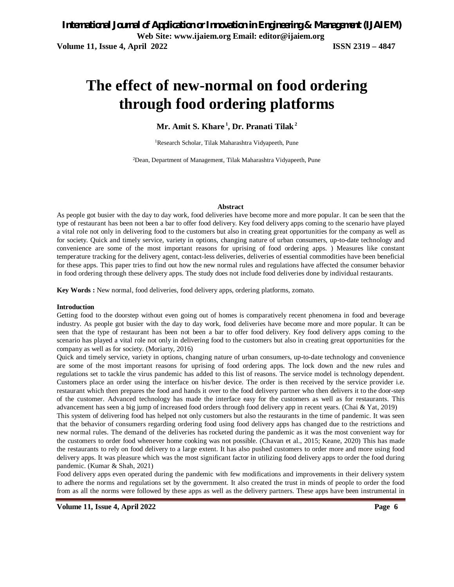# **The effect of new-normal on food ordering through food ordering platforms**

**Mr. Amit S. Khare <sup>1</sup> , Dr. Pranati Tilak<sup>2</sup>**

<sup>1</sup>Research Scholar, Tilak Maharashtra Vidyapeeth, Pune

<sup>2</sup>Dean, Department of Management, Tilak Maharashtra Vidyapeeth, Pune

#### **Abstract**

As people got busier with the day to day work, food deliveries have become more and more popular. It can be seen that the type of restaurant has been not been a bar to offer food delivery. Key food delivery apps coming to the scenario have played a vital role not only in delivering food to the customers but also in creating great opportunities for the company as well as for society. Quick and timely service, variety in options, changing nature of urban consumers, up-to-date technology and convenience are some of the most important reasons for uprising of food ordering apps. ) Measures like constant temperature tracking for the delivery agent, contact-less deliveries, deliveries of essential commodities have been beneficial for these apps. This paper tries to find out how the new normal rules and regulations have affected the consumer behavior in food ordering through these delivery apps. The study does not include food deliveries done by individual restaurants.

**Key Words :** New normal, food deliveries, food delivery apps, ordering platforms, zomato.

### **Introduction**

Getting food to the doorstep without even going out of homes is comparatively recent phenomena in food and beverage industry. As people got busier with the day to day work, food deliveries have become more and more popular. It can be seen that the type of restaurant has been not been a bar to offer food delivery. Key food delivery apps coming to the scenario has played a vital role not only in delivering food to the customers but also in creating great opportunities for the company as well as for society. (Moriarty, 2016)

Quick and timely service, variety in options, changing nature of urban consumers, up-to-date technology and convenience are some of the most important reasons for uprising of food ordering apps. The lock down and the new rules and regulations set to tackle the virus pandemic has added to this list of reasons. The service model is technology dependent. Customers place an order using the interface on his/her device. The order is then received by the service provider i.e. restaurant which then prepares the food and hands it over to the food delivery partner who then delivers it to the door-step of the customer. Advanced technology has made the interface easy for the customers as well as for restaurants. This advancement has seen a big jump of increased food orders through food delivery app in recent years. (Chai & Yat, 2019)

This system of delivering food has helped not only customers but also the restaurants in the time of pandemic. It was seen that the behavior of consumers regarding ordering food using food delivery apps has changed due to the restrictions and new normal rules. The demand of the deliveries has rocketed during the pandemic as it was the most convenient way for the customers to order food whenever home cooking was not possible. (Chavan et al., 2015; Keane, 2020) This has made the restaurants to rely on food delivery to a large extent. It has also pushed customers to order more and more using food delivery apps. It was pleasure which was the most significant factor in utilizing food delivery apps to order the food during pandemic. (Kumar & Shah, 2021)

Food delivery apps even operated during the pandemic with few modifications and improvements in their delivery system to adhere the norms and regulations set by the government. It also created the trust in minds of people to order the food from as all the norms were followed by these apps as well as the delivery partners. These apps have been instrumental in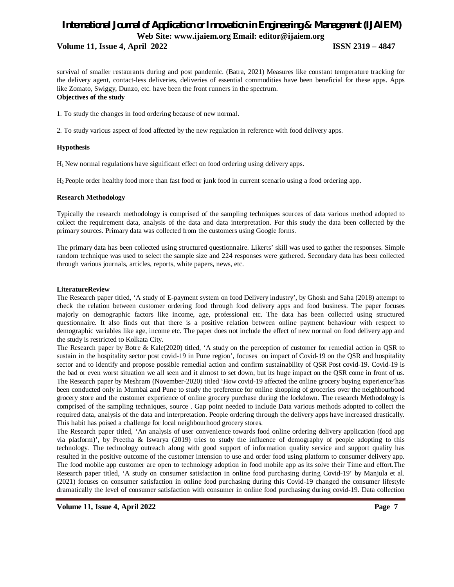## *International Journal of Application or Innovation in Engineering & Management (IJAIEM)* **Web Site: www.ijaiem.org Email: editor@ijaiem.org Volume 11, Issue 4, April 2022 ISSN 2319 – 4847**

survival of smaller restaurants during and post pandemic. (Batra, 2021) Measures like constant temperature tracking for the delivery agent, contact-less deliveries, deliveries of essential commodities have been beneficial for these apps. Apps like Zomato, Swiggy, Dunzo, etc. have been the front runners in the spectrum. **Objectives of the study**

1. To study the changes in food ordering because of new normal.

2. To study various aspect of food affected by the new regulation in reference with food delivery apps.

## **Hypothesis**

H1 New normal regulations have significant effect on food ordering using delivery apps.

H2 People order healthy food more than fast food or junk food in current scenario using a food ordering app.

### **Research Methodology**

Typically the research methodology is comprised of the sampling techniques sources of data various method adopted to collect the requirement data, analysis of the data and data interpretation. For this study the data been collected by the primary sources. Primary data was collected from the customers using Google forms.

The primary data has been collected using structured questionnaire. Likerts' skill was used to gather the responses. Simple random technique was used to select the sample size and 224 responses were gathered. Secondary data has been collected through various journals, articles, reports, white papers, news, etc.

## **LiteratureReview**

The Research paper titled, 'A study of E-payment system on food Delivery industry', by Ghosh and Saha (2018) attempt to check the relation between customer ordering food through food delivery apps and food business. The paper focuses majorly on demographic factors like income, age, professional etc. The data has been collected using structured questionnaire. It also finds out that there is a positive relation between online payment behaviour with respect to demographic variables like age, income etc. The paper does not include the effect of new normal on food delivery app and the study is restricted to Kolkata City.

The Research paper by Botre & Kale(2020) titled, 'A study on the perception of customer for remedial action in QSR to sustain in the hospitality sector post covid-19 in Pune region', focuses on impact of Covid-19 on the QSR and hospitality sector and to identify and propose possible remedial action and confirm sustainability of QSR Post covid-19. Covid-19 is the bad or even worst situation we all seen and it almost to set down, but its huge impact on the QSR come in front of us. The Research paper by Meshram (November-2020) titled 'How covid-19 affected the online grocery buying experience'has been conducted only in Mumbai and Pune to study the preference for online shopping of groceries over the neighbourhood grocery store and the customer experience of online grocery purchase during the lockdown. The research Methodology is comprised of the sampling techniques, source . Gap point needed to include Data various methods adopted to collect the required data, analysis of the data and interpretation. People ordering through the delivery apps have increased drastically. This habit has poised a challenge for local neighbourhood grocery stores.

The Research paper titled, 'An analysis of user convenience towards food online ordering delivery application (food app via platform)', by Preetha & Iswarya (2019) tries to study the influence of demography of people adopting to this technology. The technology outreach along with good support of information quality service and support quality has resulted in the positive outcome of the customer intension to use and order food using platform to consumer delivery app. The food mobile app customer are open to technology adoption in food mobile app as its solve their Time and effort.The Research paper titled, 'A study on consumer satisfaction in online food purchasing during Covid-19' by Manjula et al. (2021) focuses on consumer satisfaction in online food purchasing during this Covid-19 changed the consumer lifestyle dramatically the level of consumer satisfaction with consumer in online food purchasing during covid-19. Data collection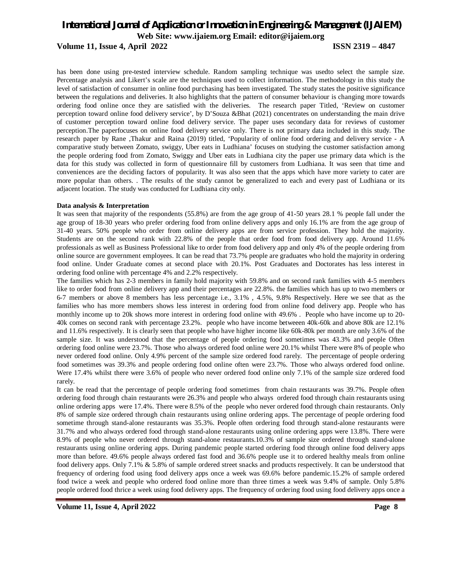## *International Journal of Application or Innovation in Engineering & Management (IJAIEM)* **Web Site: www.ijaiem.org Email: editor@ijaiem.org**

**Volume 11, Issue 4, April 2022 ISSN 2319 – 4847**

has been done using pre-tested interview schedule. Random sampling technique was usedto select the sample size. Percentage analysis and Likert's scale are the techniques used to collect information. The methodology in this study the level of satisfaction of consumer in online food purchasing has been investigated. The study states the positive significance between the regulations and deliveries. It also highlights that the pattern of consumer behaviour is changing more towards ordering food online once they are satisfied with the deliveries. The research paper Titled, 'Review on customer perception toward online food delivery service', by D'Souza &Bhat (2021) concentrates on understanding the main drive of customer perception toward online food delivery service. The paper uses secondary data for reviews of customer perception.The paperfocuses on online food delivery service only. There is not primary data included in this study. The research paper by Rane ,Thakur and Raina (2019) titled, 'Popularity of online food ordering and delivery service - A comparative study between Zomato, swiggy, Uber eats in Ludhiana' focuses on studying the customer satisfaction among the people ordering food from Zomato, Swiggy and Uber eats in Ludhiana city the paper use primary data which is the data for this study was collected in form of questionnaire fill by customers from Ludhiana. It was seen that time and conveniences are the deciding factors of popularity. It was also seen that the apps which have more variety to cater are more popular than others. . The results of the study cannot be generalized to each and every past of Ludhiana or its adjacent location. The study was conducted for Ludhiana city only.

### **Data analysis & Interpretation**

It was seen that majority of the respondents (55.8%) are from the age group of 41-50 years 28.1 % people fall under the age group of 18-30 years who prefer ordering food from online delivery apps and only 16.1% are from the age group of 31-40 years. 50% people who order from online delivery apps are from service profession. They hold the majority. Students are on the second rank with 22.8% of the people that order food from food delivery app. Around 11.6% professionals as well as Business Professional like to order from food delivery app and only 4% of the people ordering from online source are government employees. It can be read that 73.7% people are graduates who hold the majority in ordering food online. Under Graduate comes at second place with 20.1%. Post Graduates and Doctorates has less interest in ordering food online with percentage 4% and 2.2% respectively.

The families which has 2-3 members in family hold majority with 59.8% and on second rank families with 4-5 members like to order food from online delivery app and their percentages are 22.8%. the families which has up to two members or 6-7 members or above 8 members has less percentage i.e., 3.1% , 4.5%, 9.8% Respectively. Here we see that as the families who has more members shows less interest in ordering food from online food delivery app. People who has monthly income up to 20k shows more interest in ordering food online with 49.6% . People who have income up to 20- 40k comes on second rank with percentage 23.2%. people who have income betweeen 40k-60k and above 80k are 12.1% and 11.6% respectively. It is clearly seen that people who have higher income like 60k-80k per month are only 3.6% of the sample size. It was understood that the percentage of people ordering food sometimes was 43.3% and people Often ordering food online were 23.7%. Those who always ordered food online were 20.1% whilst There were 8% of people who never ordered food online. Only 4.9% percent of the sample size ordered food rarely. The percentage of people ordering food sometimes was 39.3% and people ordering food online often were 23.7%. Those who always ordered food online. Were 17.4% whilst there were 3.6% of people who never ordered food online only 7.1% of the sample size ordered food rarely.

It can be read that the percentage of people ordering food sometimes from chain restaurants was 39.7%. People often ordering food through chain restaurants were 26.3% and people who always ordered food through chain restaurants using online ordering apps were 17.4%. There were 8.5% of the people who never ordered food through chain restaurants. Only 8% of sample size ordered through chain restaurants using online ordering apps. The percentage of people ordering food sometime through stand-alone restaurants was 35.3%. People often ordering food through stand-alone restaurants were 31.7% and who always ordered food through stand-alone restaurants using online ordering apps were 13.8%. There were 8.9% of people who never ordered through stand-alone restaurants.10.3% of sample size ordered through stand-alone restaurants using online ordering apps. During pandemic people started ordering food through online food delivery apps more than before. 49.6% people always ordered fast food and 36.6% people use it to ordered healthy meals from online food delivery apps. Only 7.1% & 5.8% of sample ordered street snacks and products respectively. It can be understood that frequency of ordering food using food delivery apps once a week was 69.6% before pandemic.15.2% of sample ordered food twice a week and people who ordered food online more than three times a week was 9.4% of sample. Only 5.8% people ordered food thrice a week using food delivery apps. The frequency of ordering food using food delivery apps once a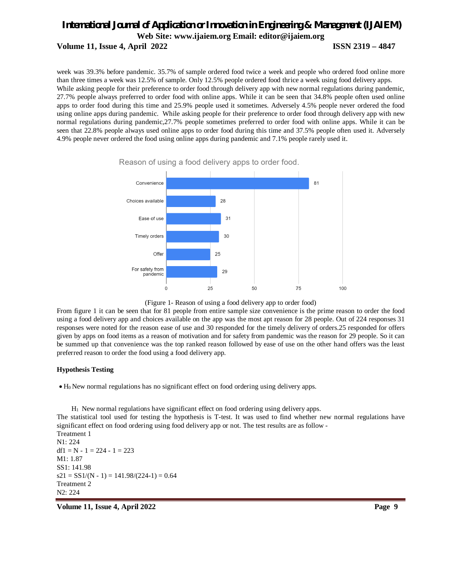## *International Journal of Application or Innovation in Engineering & Management (IJAIEM)* **Web Site: www.ijaiem.org Email: editor@ijaiem.org Volume 11, Issue 4, April 2022 ISSN 2319 – 4847**

week was 39.3% before pandemic. 35.7% of sample ordered food twice a week and people who ordered food online more than three times a week was 12.5% of sample. Only 12.5% people ordered food thrice a week using food delivery apps. While asking people for their preference to order food through delivery app with new normal regulations during pandemic, 27.7% people always preferred to order food with online apps. While it can be seen that 34.8% people often used online apps to order food during this time and 25.9% people used it sometimes. Adversely 4.5% people never ordered the food using online apps during pandemic. While asking people for their preference to order food through delivery app with new normal regulations during pandemic,27.7% people sometimes preferred to order food with online apps. While it can be seen that 22.8% people always used online apps to order food during this time and 37.5% people often used it. Adversely 4.9% people never ordered the food using online apps during pandemic and 7.1% people rarely used it.



Reason of using a food delivery apps to order food.

(Figure 1- Reason of using a food delivery app to order food)

From figure 1 it can be seen that for 81 people from entire sample size convenience is the prime reason to order the food using a food delivery app and choices available on the app was the most apt reason for 28 people. Out of 224 responses 31 responses were noted for the reason ease of use and 30 responded for the timely delivery of orders.25 responded for offers given by apps on food items as a reason of motivation and for safety from pandemic was the reason for 29 people. So it can be summed up that convenience was the top ranked reason followed by ease of use on the other hand offers was the least preferred reason to order the food using a food delivery app.

### **Hypothesis Testing**

H0 New normal regulations has no significant effect on food ordering using delivery apps.

 $H<sub>1</sub>$  New normal regulations have significant effect on food ordering using delivery apps.

The statistical tool used for testing the hypothesis is T-test. It was used to find whether new normal regulations have significant effect on food ordering using food delivery app or not. The test results are as follow -

Treatment 1 N1: 224 df1 = N - 1 = 224 - 1 = 223 M1: 1.87 SS1: 141.98  $s21 = SS1/(N - 1) = 141.98/(224-1) = 0.64$ Treatment 2 N2: 224

**Volume 11, Issue 4, April 2022** Page 9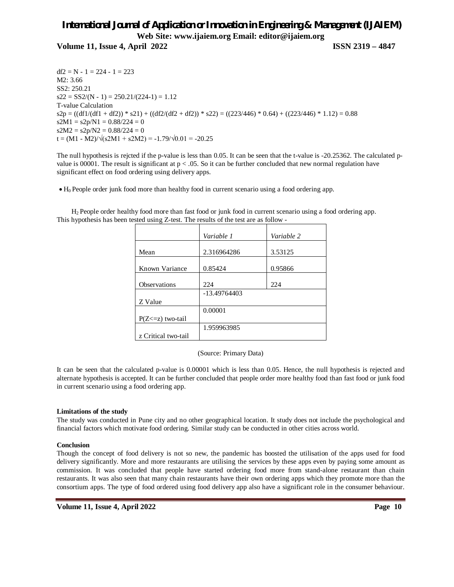## *International Journal of Application or Innovation in Engineering & Management (IJAIEM)* **Web Site: www.ijaiem.org Email: editor@ijaiem.org**

**Volume 11, Issue 4, April 2022 ISSN 2319 – 4847**

 $df2 = N - 1 = 224 - 1 = 223$ M2: 3.66 SS2: 250.21  $s22 = SS2/(N - 1) = 250.21/(224-1) = 1.12$ T-value Calculation  $s2p = ((df1/(df1 + df2)) * s21) + ((df2/(df2 + df2)) * s22) = ((223/446) * 0.64) + ((223/446) * 1.12) = 0.88$  $s2M1 = s2p/N1 = 0.88/224 = 0$  $s2M2 = s2p/N2 = 0.88/224 = 0$ t =  $(M1 - M2)/\sqrt{(s2M1 + s2M2)} = -1.79/\sqrt{0.01} = -20.25$ 

The null hypothesis is rejcted if the p-value is less than 0.05. It can be seen that the t-value is -20.25362. The calculated pvalue is 00001. The result is significant at  $p < 0.05$ . So it can be further concluded that new normal regulation have significant effect on food ordering using delivery apps.

H0 People order junk food more than healthy food in current scenario using a food ordering app.

H2 People order healthy food more than fast food or junk food in current scenario using a food ordering app. This hypothesis has been tested using Z-test. The results of the test are as follow -

|                       | Variable 1     | Variable 2 |
|-----------------------|----------------|------------|
|                       |                |            |
| Mean                  | 2.316964286    | 3.53125    |
|                       |                |            |
| Known Variance        | 0.85424        | 0.95866    |
|                       |                |            |
| Observations          | 224            | 224        |
|                       | $-13.49764403$ |            |
| Z Value               |                |            |
|                       | 0.00001        |            |
| $P(Z \le z)$ two-tail |                |            |
|                       | 1.959963985    |            |
| z Critical two-tail   |                |            |

(Source: Primary Data)

It can be seen that the calculated p-value is 0.00001 which is less than 0.05. Hence, the null hypothesis is rejected and alternate hypothesis is accepted. It can be further concluded that people order more healthy food than fast food or junk food in current scenario using a food ordering app.

## **Limitations of the study**

The study was conducted in Pune city and no other geographical location. It study does not include the psychological and financial factors which motivate food ordering. Similar study can be conducted in other cities across world.

## **Conclusion**

Though the concept of food delivery is not so new, the pandemic has boosted the utilisation of the apps used for food delivery significantly. More and more restaurants are utilising the services by these apps even by paying some amount as commission. It was concluded that people have started ordering food more from stand-alone restaurant than chain restaurants. It was also seen that many chain restaurants have their own ordering apps which they promote more than the consortium apps. The type of food ordered using food delivery app also have a significant role in the consumer behaviour.